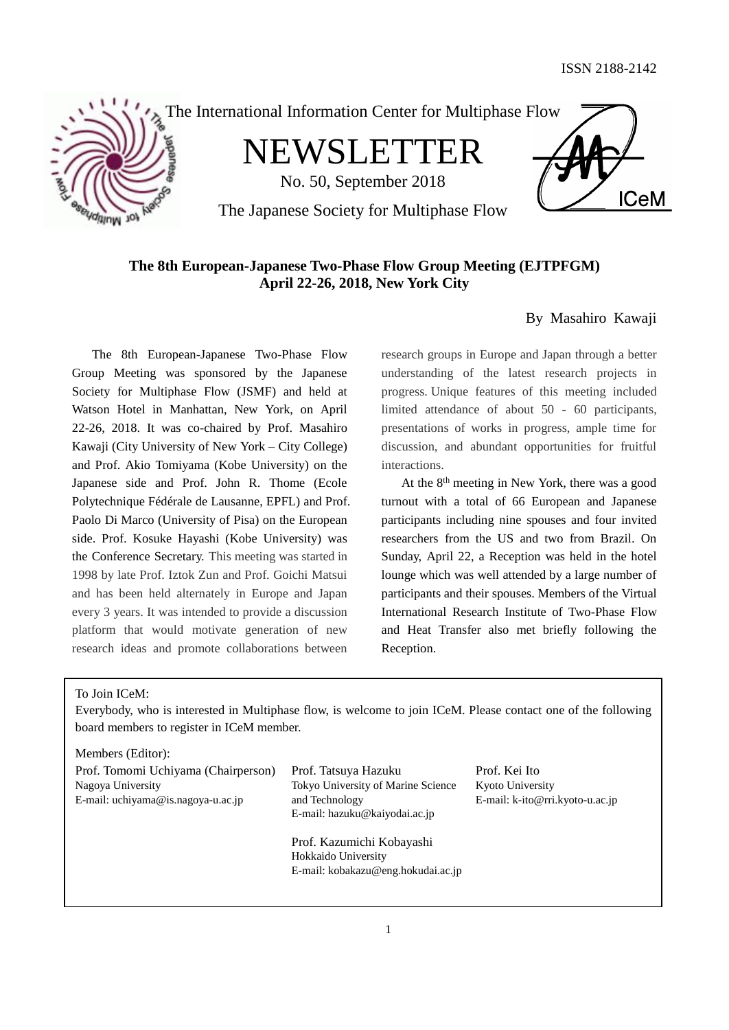**ICeM** 





NEWSLETTER

No. 50, September 2018

The Japanese Society for Multiphase Flow

# **The 8th European-Japanese Two-Phase Flow Group Meeting (EJTPFGM) April 22-26, 2018, New York City**

# By Masahiro Kawaji

The 8th European-Japanese Two-Phase Flow Group Meeting was sponsored by the Japanese Society for Multiphase Flow (JSMF) and held at Watson Hotel in Manhattan, New York, on April 22-26, 2018. It was co-chaired by Prof. Masahiro Kawaji (City University of New York – City College) and Prof. Akio Tomiyama (Kobe University) on the Japanese side and Prof. John R. Thome (Ecole Polytechnique Fédérale de Lausanne, EPFL) and Prof. Paolo Di Marco (University of Pisa) on the European side. Prof. Kosuke Hayashi (Kobe University) was the Conference Secretary. This meeting was started in 1998 by late Prof. Iztok Zun and Prof. Goichi Matsui and has been held alternately in Europe and Japan every 3 years. It was intended to provide a discussion platform that would motivate generation of new research ideas and promote collaborations between

research groups in Europe and Japan through a better understanding of the latest research projects in progress. Unique features of this meeting included limited attendance of about 50 - 60 participants, presentations of works in progress, ample time for discussion, and abundant opportunities for fruitful interactions.

At the 8<sup>th</sup> meeting in New York, there was a good turnout with a total of 66 European and Japanese participants including nine spouses and four invited researchers from the US and two from Brazil. On Sunday, April 22, a Reception was held in the hotel lounge which was well attended by a large number of participants and their spouses. Members of the Virtual International Research Institute of Two-Phase Flow and Heat Transfer also met briefly following the Reception.

# To Join ICeM:

Everybody, who is interested in Multiphase flow, is welcome to join ICeM. Please contact one of the following board members to register in ICeM member.

| Members (Editor):                                                                              |                                                                                                               |                                                                      |
|------------------------------------------------------------------------------------------------|---------------------------------------------------------------------------------------------------------------|----------------------------------------------------------------------|
| Prof. Tomomi Uchiyama (Chairperson)<br>Nagoya University<br>E-mail: uchiyama@is.nagoya-u.ac.jp | Prof. Tatsuya Hazuku<br>Tokyo University of Marine Science<br>and Technology<br>E-mail: hazuku@kaiyodai.ac.jp | Prof. Kei Ito<br>Kyoto University<br>E-mail: k-ito@rri.kyoto-u.ac.jp |
|                                                                                                | Prof. Kazumichi Kobayashi<br>Hokkaido University<br>E-mail: kobakazu@eng.hokudai.ac.jp                        |                                                                      |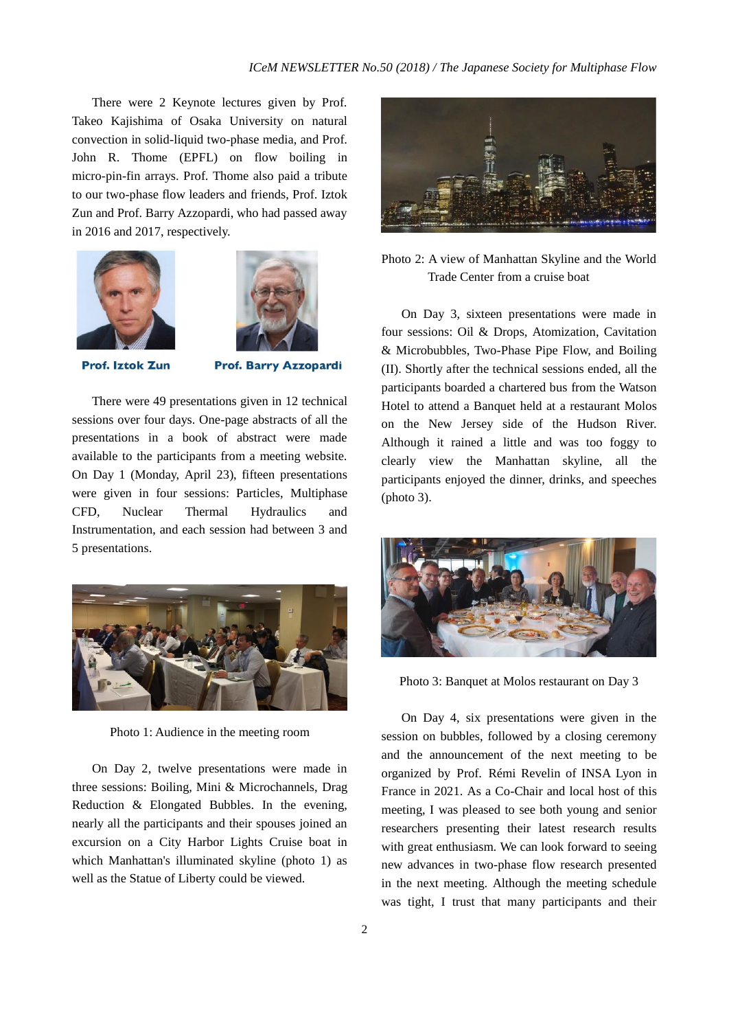There were 2 Keynote lectures given by Prof. Takeo Kajishima of Osaka University on natural convection in solid-liquid two-phase media, and Prof. John R. Thome (EPFL) on flow boiling in micro-pin-fin arrays. Prof. Thome also paid a tribute to our two-phase flow leaders and friends, Prof. Iztok Zun and Prof. Barry Azzopardi, who had passed away in 2016 and 2017, respectively.





**Prof. Iztok Zun** 

**Prof. Barry Azzopardi** 

There were 49 presentations given in 12 technical sessions over four days. One-page abstracts of all the presentations in a book of abstract were made available to the participants from a meeting website. On Day 1 (Monday, April 23), fifteen presentations were given in four sessions: Particles, Multiphase CFD, Nuclear Thermal Hydraulics and Instrumentation, and each session had between 3 and 5 presentations.



Photo 1: Audience in the meeting room

On Day 2, twelve presentations were made in three sessions: Boiling, Mini & Microchannels, Drag Reduction & Elongated Bubbles. In the evening, nearly all the participants and their spouses joined an excursion on a City Harbor Lights Cruise boat in which Manhattan's illuminated skyline (photo 1) as well as the Statue of Liberty could be viewed.



# Photo 2: A view of Manhattan Skyline and the World Trade Center from a cruise boat

On Day 3, sixteen presentations were made in four sessions: Oil & Drops, Atomization, Cavitation & Microbubbles, Two-Phase Pipe Flow, and Boiling (II). Shortly after the technical sessions ended, all the participants boarded a chartered bus from the Watson Hotel to attend a Banquet held at a restaurant Molos on the New Jersey side of the Hudson River. Although it rained a little and was too foggy to clearly view the Manhattan skyline, all the participants enjoyed the dinner, drinks, and speeches (photo 3).



Photo 3: Banquet at Molos restaurant on Day 3

On Day 4, six presentations were given in the session on bubbles, followed by a closing ceremony and the announcement of the next meeting to be organized by Prof. Rémi Revelin of INSA Lyon in France in 2021. As a Co-Chair and local host of this meeting, I was pleased to see both young and senior researchers presenting their latest research results with great enthusiasm. We can look forward to seeing new advances in two-phase flow research presented in the next meeting. Although the meeting schedule was tight, I trust that many participants and their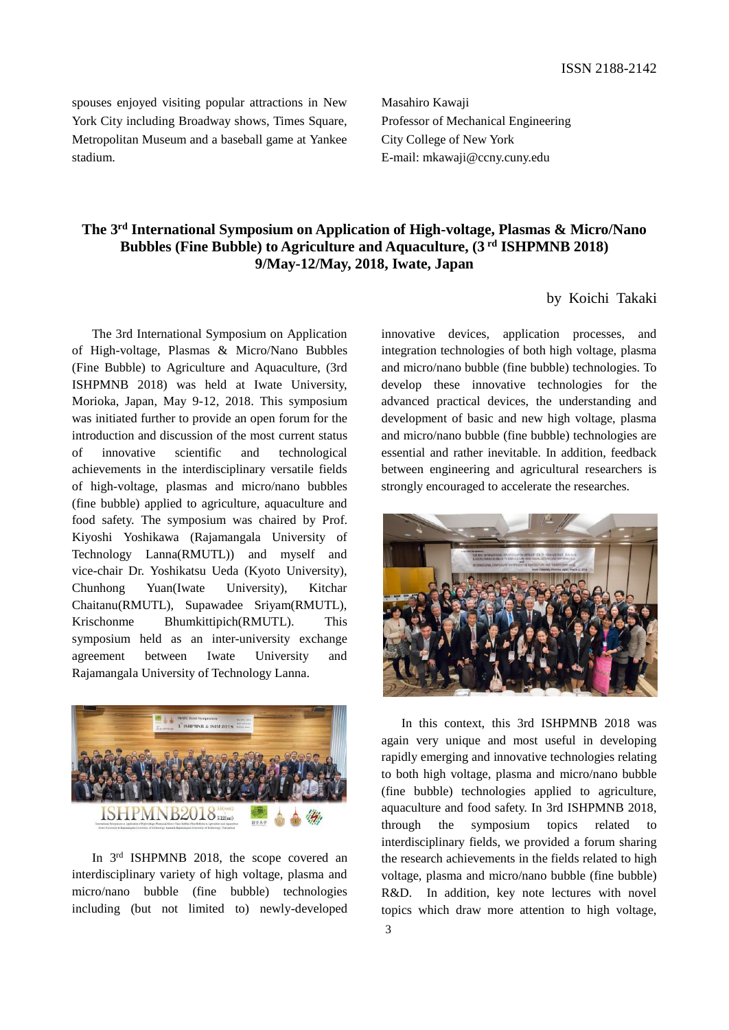spouses enjoyed visiting popular attractions in New York City including Broadway shows, Times Square, Metropolitan Museum and a baseball game at Yankee stadium.

Masahiro Kawaji Professor of Mechanical Engineering City College of New York E-mail: mkawaji@ccny.cuny.edu

# **The 3rd International Symposium on Application of High-voltage, Plasmas & Micro/Nano Bubbles (Fine Bubble) to Agriculture and Aquaculture, (3 rd ISHPMNB 2018) 9/May-12/May, 2018, Iwate, Japan**

# by Koichi Takaki

The 3rd International Symposium on Application of High-voltage, Plasmas & Micro/Nano Bubbles (Fine Bubble) to Agriculture and Aquaculture, (3rd ISHPMNB 2018) was held at Iwate University, Morioka, Japan, May 9-12, 2018. This symposium was initiated further to provide an open forum for the introduction and discussion of the most current status of innovative scientific and technological achievements in the interdisciplinary versatile fields of high-voltage, plasmas and micro/nano bubbles (fine bubble) applied to agriculture, aquaculture and food safety. The symposium was chaired by Prof. Kiyoshi Yoshikawa (Rajamangala University of Technology Lanna(RMUTL)) and myself and vice-chair Dr. Yoshikatsu Ueda (Kyoto University), Chunhong Yuan(Iwate University), Kitchar Chaitanu(RMUTL), Supawadee Sriyam(RMUTL), Krischonme Bhumkittipich(RMUTL). This symposium held as an inter-university exchange agreement between Iwate University and Rajamangala University of Technology Lanna.



In  $3<sup>rd</sup>$  ISHPMNB 2018, the scope covered an interdisciplinary variety of high voltage, plasma and micro/nano bubble (fine bubble) technologies including (but not limited to) newly-developed

innovative devices, application processes, and integration technologies of both high voltage, plasma and micro/nano bubble (fine bubble) technologies. To develop these innovative technologies for the advanced practical devices, the understanding and development of basic and new high voltage, plasma and micro/nano bubble (fine bubble) technologies are essential and rather inevitable. In addition, feedback between engineering and agricultural researchers is strongly encouraged to accelerate the researches.



In this context, this 3rd ISHPMNB 2018 was again very unique and most useful in developing rapidly emerging and innovative technologies relating to both high voltage, plasma and micro/nano bubble (fine bubble) technologies applied to agriculture, aquaculture and food safety. In 3rd ISHPMNB 2018, through the symposium topics related to interdisciplinary fields, we provided a forum sharing the research achievements in the fields related to high voltage, plasma and micro/nano bubble (fine bubble) R&D. In addition, key note lectures with novel topics which draw more attention to high voltage,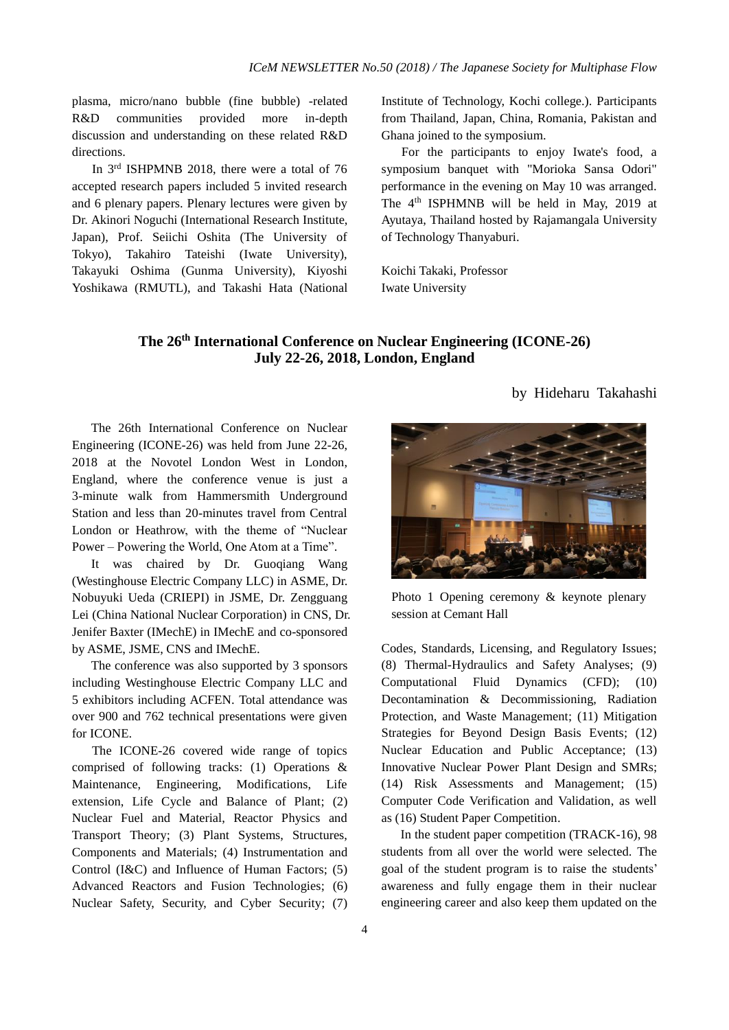plasma, micro/nano bubble (fine bubble) -related R&D communities provided more in-depth discussion and understanding on these related R&D directions.

In 3rd ISHPMNB 2018, there were a total of 76 accepted research papers included 5 invited research and 6 plenary papers. Plenary lectures were given by Dr. Akinori Noguchi (International Research Institute, Japan), Prof. Seiichi Oshita (The University of Tokyo), Takahiro Tateishi (Iwate University), Takayuki Oshima (Gunma University), Kiyoshi Yoshikawa (RMUTL), and Takashi Hata (National Institute of Technology, Kochi college.). Participants from Thailand, Japan, China, Romania, Pakistan and Ghana joined to the symposium.

For the participants to enjoy Iwate's food, a symposium banquet with "Morioka Sansa Odori" performance in the evening on May 10 was arranged. The 4th ISPHMNB will be held in May, 2019 at Ayutaya, Thailand hosted by Rajamangala University of Technology Thanyaburi.

Koichi Takaki, Professor Iwate University

# **The 26th International Conference on Nuclear Engineering (ICONE-26) July 22-26, 2018, London, England**

by Hideharu Takahashi

The 26th International Conference on Nuclear Engineering (ICONE-26) was held from June 22-26, 2018 at the Novotel London West in London, England, where the conference venue is just a 3-minute walk from Hammersmith Underground Station and less than 20-minutes travel from Central London or Heathrow, with the theme of "Nuclear Power – Powering the World, One Atom at a Time".

It was chaired by Dr. Guoqiang Wang (Westinghouse Electric Company LLC) in ASME, Dr. Nobuyuki Ueda (CRIEPI) in JSME, Dr. Zengguang Lei (China National Nuclear Corporation) in CNS, Dr. Jenifer Baxter (IMechE) in IMechE and co-sponsored by ASME, JSME, CNS and IMechE.

The conference was also supported by 3 sponsors including Westinghouse Electric Company LLC and 5 exhibitors including ACFEN. Total attendance was over 900 and 762 technical presentations were given for ICONE.

The ICONE-26 covered wide range of topics comprised of following tracks: (1) Operations & Maintenance, Engineering, Modifications, Life extension, Life Cycle and Balance of Plant; (2) Nuclear Fuel and Material, Reactor Physics and Transport Theory; (3) Plant Systems, Structures, Components and Materials; (4) Instrumentation and Control (I&C) and Influence of Human Factors; (5) Advanced Reactors and Fusion Technologies; (6) Nuclear Safety, Security, and Cyber Security; (7)



Photo 1 Opening ceremony & keynote plenary session at Cemant Hall

Codes, Standards, Licensing, and Regulatory Issues; (8) Thermal-Hydraulics and Safety Analyses; (9) Computational Fluid Dynamics (CFD); (10) Decontamination & Decommissioning, Radiation Protection, and Waste Management; (11) Mitigation Strategies for Beyond Design Basis Events; (12) Nuclear Education and Public Acceptance; (13) Innovative Nuclear Power Plant Design and SMRs; (14) Risk Assessments and Management; (15) Computer Code Verification and Validation, as well as (16) Student Paper Competition.

In the student paper competition (TRACK-16), 98 students from all over the world were selected. The goal of the student program is to raise the students' awareness and fully engage them in their nuclear engineering career and also keep them updated on the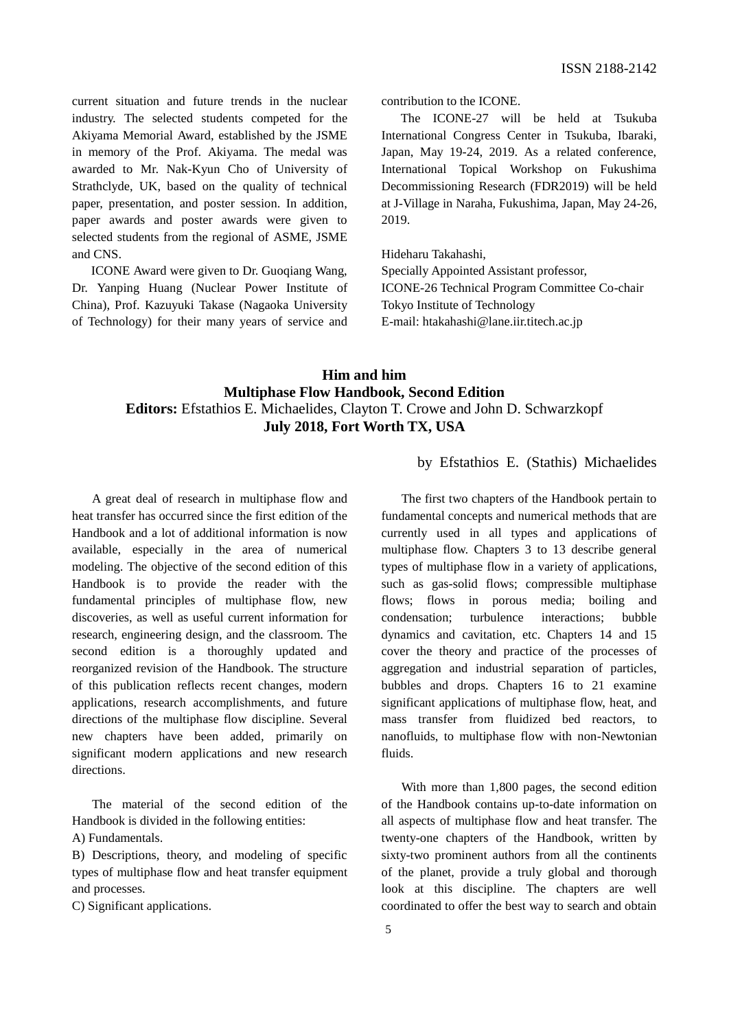current situation and future trends in the nuclear industry. The selected students competed for the Akiyama Memorial Award, established by the JSME in memory of the Prof. Akiyama. The medal was awarded to Mr. Nak-Kyun Cho of University of Strathclyde, UK, based on the quality of technical paper, presentation, and poster session. In addition, paper awards and poster awards were given to selected students from the regional of ASME, JSME and CNS.

ICONE Award were given to Dr. Guoqiang Wang, Dr. Yanping Huang (Nuclear Power Institute of China), Prof. Kazuyuki Takase (Nagaoka University of Technology) for their many years of service and

contribution to the ICONE.

 The ICONE-27 will be held at Tsukuba International Congress Center in Tsukuba, Ibaraki, Japan, May 19-24, 2019. As a related conference, International Topical Workshop on Fukushima Decommissioning Research (FDR2019) will be held at J-Village in Naraha, Fukushima, Japan, May 24-26, 2019.

Hideharu Takahashi,

Specially Appointed Assistant professor,

ICONE-26 Technical Program Committee Co-chair Tokyo Institute of Technology E-mail: htakahashi@lane.iir.titech.ac.jp

# **Him and him Multiphase Flow Handbook, Second Edition Editors:** Efstathios E. Michaelides, Clayton T. Crowe and John D. Schwarzkopf **July 2018, Fort Worth TX, USA**

A great deal of research in multiphase flow and heat transfer has occurred since the first edition of the Handbook and a lot of additional information is now available, especially in the area of numerical modeling. The objective of the second edition of this Handbook is to provide the reader with the fundamental principles of multiphase flow, new discoveries, as well as useful current information for research, engineering design, and the classroom. The second edition is a thoroughly updated and reorganized revision of the Handbook. The structure of this publication reflects recent changes, modern applications, research accomplishments, and future directions of the multiphase flow discipline. Several new chapters have been added, primarily on significant modern applications and new research directions.

The material of the second edition of the Handbook is divided in the following entities:

A) Fundamentals.

B) Descriptions, theory, and modeling of specific types of multiphase flow and heat transfer equipment and processes.

C) Significant applications.

by Efstathios E. (Stathis) Michaelides

The first two chapters of the Handbook pertain to fundamental concepts and numerical methods that are currently used in all types and applications of multiphase flow. Chapters 3 to 13 describe general types of multiphase flow in a variety of applications, such as gas-solid flows; compressible multiphase flows; flows in porous media; boiling and condensation; turbulence interactions; bubble dynamics and cavitation, etc. Chapters 14 and 15 cover the theory and practice of the processes of aggregation and industrial separation of particles, bubbles and drops. Chapters 16 to 21 examine significant applications of multiphase flow, heat, and mass transfer from fluidized bed reactors, to nanofluids, to multiphase flow with non-Newtonian fluids.

With more than 1,800 pages, the second edition of the Handbook contains up-to-date information on all aspects of multiphase flow and heat transfer. The twenty-one chapters of the Handbook, written by sixty-two prominent authors from all the continents of the planet, provide a truly global and thorough look at this discipline. The chapters are well coordinated to offer the best way to search and obtain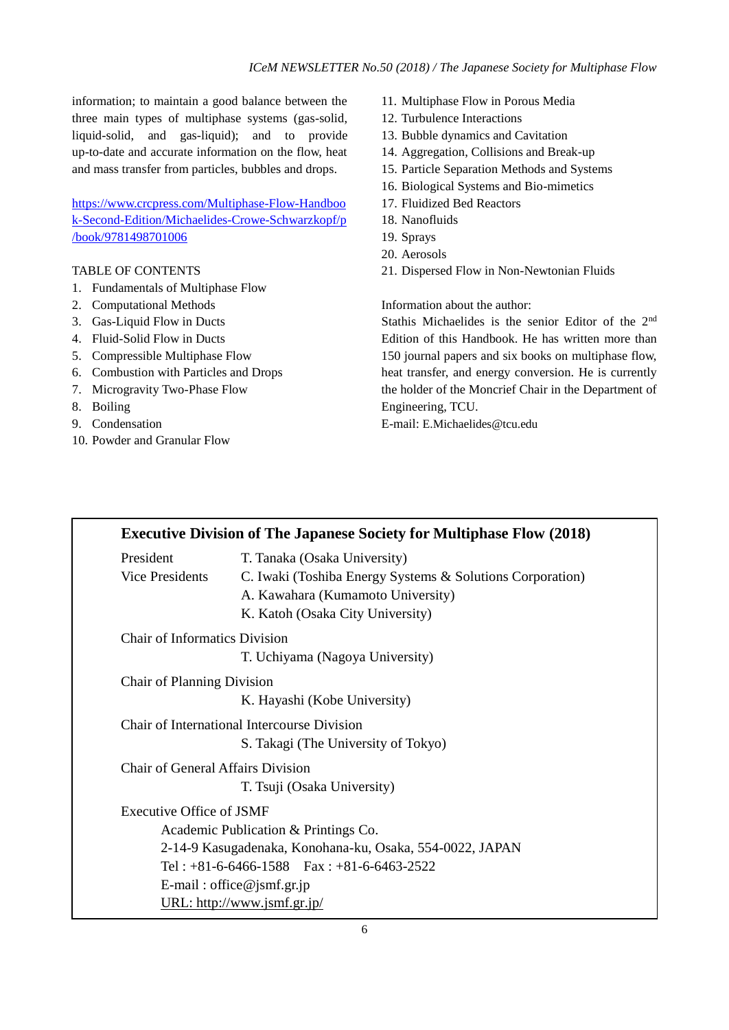information; to maintain a good balance between the three main types of multiphase systems (gas-solid, liquid-solid, and gas-liquid); and to provide up-to-date and accurate information on the flow, heat and mass transfer from particles, bubbles and drops.

[https://www.crcpress.com/Multiphase-Flow-Handboo](https://www.crcpress.com/Multiphase-Flow-Handbook-Second-Edition/Michaelides-Crowe-Schwarzkopf/p/book/9781498701006) [k-Second-Edition/Michaelides-Crowe-Schwarzkopf/p](https://www.crcpress.com/Multiphase-Flow-Handbook-Second-Edition/Michaelides-Crowe-Schwarzkopf/p/book/9781498701006) [/book/9781498701006](https://www.crcpress.com/Multiphase-Flow-Handbook-Second-Edition/Michaelides-Crowe-Schwarzkopf/p/book/9781498701006)

#### TABLE OF CONTENTS

- 1. Fundamentals of Multiphase Flow
- 2. Computational Methods
- 3. Gas-Liquid Flow in Ducts
- 4. Fluid-Solid Flow in Ducts
- 5. Compressible Multiphase Flow
- 6. Combustion with Particles and Drops
- 7. Microgravity Two-Phase Flow
- 8. Boiling
- 9. Condensation
- 10. Powder and Granular Flow
- 11. Multiphase Flow in Porous Media
- 12. Turbulence Interactions
- 13. Bubble dynamics and Cavitation
- 14. Aggregation, Collisions and Break-up
- 15. Particle Separation Methods and Systems
- 16. Biological Systems and Bio-mimetics
- 17. Fluidized Bed Reactors
- 18. Nanofluids
- 19. Sprays
- 20. Aerosols
- 21. Dispersed Flow in Non-Newtonian Fluids

Information about the author:

Stathis Michaelides is the senior Editor of the 2nd Edition of this Handbook. He has written more than 150 journal papers and six books on multiphase flow, heat transfer, and energy conversion. He is currently the holder of the Moncrief Chair in the Department of Engineering, TCU.

E-mail: E.Michaelides@tcu.edu

|                                          | <b>Executive Division of The Japanese Society for Multiphase Flow (2018)</b> |
|------------------------------------------|------------------------------------------------------------------------------|
| President                                | T. Tanaka (Osaka University)                                                 |
| <b>Vice Presidents</b>                   | C. Iwaki (Toshiba Energy Systems & Solutions Corporation)                    |
|                                          | A. Kawahara (Kumamoto University)                                            |
|                                          | K. Katoh (Osaka City University)                                             |
| <b>Chair of Informatics Division</b>     |                                                                              |
|                                          | T. Uchiyama (Nagoya University)                                              |
| Chair of Planning Division               |                                                                              |
|                                          | K. Hayashi (Kobe University)                                                 |
|                                          | Chair of International Intercourse Division                                  |
|                                          | S. Takagi (The University of Tokyo)                                          |
| <b>Chair of General Affairs Division</b> |                                                                              |
|                                          | T. Tsuji (Osaka University)                                                  |
| Executive Office of JSMF                 |                                                                              |
|                                          | Academic Publication & Printings Co.                                         |
|                                          | 2-14-9 Kasugadenaka, Konohana-ku, Osaka, 554-0022, JAPAN                     |
|                                          | Tel: $+81-6-6466-1588$ Fax: $+81-6-6463-2522$                                |
|                                          | E-mail: office@jsmf.gr.jp                                                    |
|                                          | URL: http://www.jsmf.gr.jp/                                                  |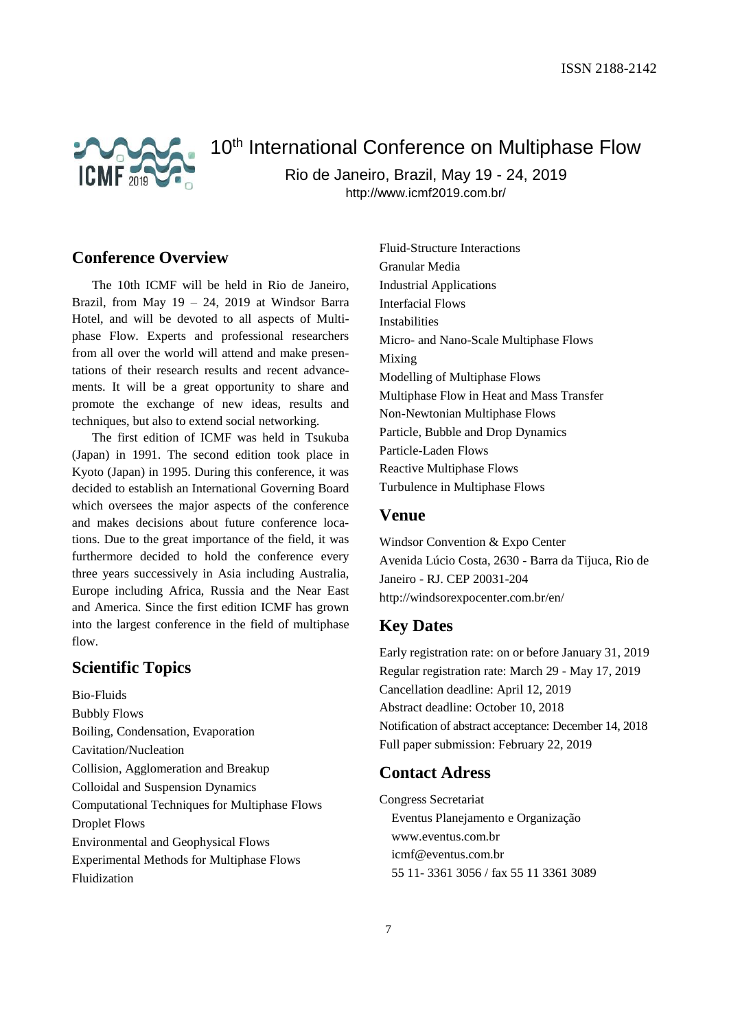

# 10<sup>th</sup> International Conference on Multiphase Flow

Rio de Janeiro, Brazil, May 19 - 24, 2019

http://www.icmf2019.com.br/

# **Conference Overview**

The 10th ICMF will be held in Rio de Janeiro, Brazil, from May 19 – 24, 2019 at Windsor Barra Hotel, and will be devoted to all aspects of Multiphase Flow. Experts and professional researchers from all over the world will attend and make presentations of their research results and recent advancements. It will be a great opportunity to share and promote the exchange of new ideas, results and techniques, but also to extend social networking.

The first edition of ICMF was held in Tsukuba (Japan) in 1991. The second edition took place in Kyoto (Japan) in 1995. During this conference, it was decided to establish an International Governing Board which oversees the major aspects of the conference and makes decisions about future conference locations. Due to the great importance of the field, it was furthermore decided to hold the conference every three years successively in Asia including Australia, Europe including Africa, Russia and the Near East and America. Since the first edition ICMF has grown into the largest conference in the field of multiphase flow.

# **Scientific Topics**

Bio-Fluids Bubbly Flows Boiling, Condensation, Evaporation Cavitation/Nucleation Collision, Agglomeration and Breakup Colloidal and Suspension Dynamics Computational Techniques for Multiphase Flows Droplet Flows Environmental and Geophysical Flows Experimental Methods for Multiphase Flows Fluidization

Fluid-Structure Interactions Granular Media Industrial Applications Interfacial Flows Instabilities Micro- and Nano-Scale Multiphase Flows Mixing Modelling of Multiphase Flows Multiphase Flow in Heat and Mass Transfer Non-Newtonian Multiphase Flows Particle, Bubble and Drop Dynamics Particle-Laden Flows Reactive Multiphase Flows Turbulence in Multiphase Flows

# **Venue**

Windsor Convention & Expo Center Avenida Lúcio Costa, 2630 - Barra da Tijuca, Rio de Janeiro - RJ. CEP 20031-204 http://windsorexpocenter.com.br/en/

# **Key Dates**

Early registration rate: on or before January 31, 2019 Regular registration rate: March 29 - May 17, 2019 Cancellation deadline: April 12, 2019 Abstract deadline: October 10, 2018 Notification of abstract acceptance: December 14, 2018 Full paper submission: February 22, 2019

# **Contact Adress**

Congress Secretariat Eventus Planejamento e Organização www.eventus.com.br icmf@eventus.com.br 55 11- 3361 3056 / fax 55 11 3361 3089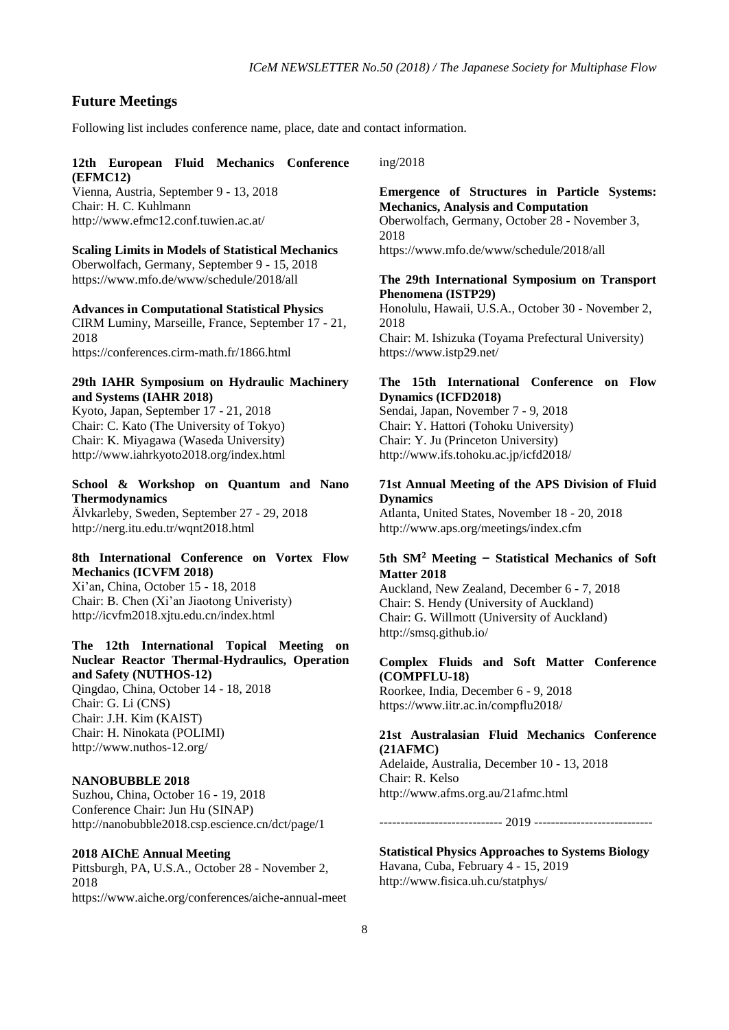# **Future Meetings**

Following list includes conference name, place, date and contact information.

#### **12th European Fluid Mechanics Conference (EFMC12)**

Vienna, Austria, September 9 - 13, 2018 Chair: H. C. Kuhlmann http://www.efmc12.conf.tuwien.ac.at/

#### **Scaling Limits in Models of Statistical Mechanics**

Oberwolfach, Germany, September 9 - 15, 2018 https://www.mfo.de/www/schedule/2018/all

## **Advances in Computational Statistical Physics**

CIRM Luminy, Marseille, France, September 17 - 21, 2018 https://conferences.cirm-math.fr/1866.html

#### **29th IAHR Symposium on Hydraulic Machinery and Systems (IAHR 2018)**

Kyoto, Japan, September 17 - 21, 2018 Chair: C. Kato (The University of Tokyo) Chair: K. Miyagawa (Waseda University) http://www.iahrkyoto2018.org/index.html

## **School & Workshop on Quantum and Nano Thermodynamics**

Älvkarleby, Sweden, September 27 - 29, 2018 http://nerg.itu.edu.tr/wqnt2018.html

#### **8th International Conference on Vortex Flow Mechanics (ICVFM 2018)**

Xi'an, China, October 15 - 18, 2018 Chair: B. Chen (Xi'an Jiaotong Univeristy) http://icvfm2018.xjtu.edu.cn/index.html

#### **The 12th International Topical Meeting on Nuclear Reactor Thermal-Hydraulics, Operation and Safety (NUTHOS-12)**

Qingdao, China, October 14 - 18, 2018 Chair: G. Li (CNS) Chair: J.H. Kim (KAIST) Chair: H. Ninokata (POLIMI) http://www.nuthos-12.org/

#### **NANOBUBBLE 2018**

Suzhou, China, October 16 - 19, 2018 Conference Chair: Jun Hu (SINAP) http://nanobubble2018.csp.escience.cn/dct/page/1

#### **2018 AIChE Annual Meeting**

Pittsburgh, PA, U.S.A., October 28 - November 2, 2018 https://www.aiche.org/conferences/aiche-annual-meet ing/2018

#### **Emergence of Structures in Particle Systems: Mechanics, Analysis and Computation**

Oberwolfach, Germany, October 28 - November 3, 2018 https://www.mfo.de/www/schedule/2018/all

#### **The 29th International Symposium on Transport Phenomena (ISTP29)**

Honolulu, Hawaii, U.S.A., October 30 - November 2, 2018

Chair: M. Ishizuka (Toyama Prefectural University) https://www.istp29.net/

#### **The 15th International Conference on Flow Dynamics (ICFD2018)**

Sendai, Japan, November 7 - 9, 2018 Chair: Y. Hattori (Tohoku University) Chair: Y. Ju (Princeton University) http://www.ifs.tohoku.ac.jp/icfd2018/

## **71st Annual Meeting of the APS Division of Fluid Dynamics**

Atlanta, United States, November 18 - 20, 2018 http://www.aps.org/meetings/index.cfm

## **5th SM<sup>2</sup> Meeting** — **Statistical Mechanics of Soft Matter 2018**

Auckland, New Zealand, December 6 - 7, 2018 Chair: S. Hendy (University of Auckland) Chair: G. Willmott (University of Auckland) http://smsq.github.io/

#### **Complex Fluids and Soft Matter Conference (COMPFLU-18)**

Roorkee, India, December 6 - 9, 2018 https://www.iitr.ac.in/compflu2018/

## **21st Australasian Fluid Mechanics Conference (21AFMC)**

Adelaide, Australia, December 10 - 13, 2018 Chair: R. Kelso http://www.afms.org.au/21afmc.html

----------------------------- 2019 ----------------------------

## **Statistical Physics Approaches to Systems Biology** Havana, Cuba, February 4 - 15, 2019

http://www.fisica.uh.cu/statphys/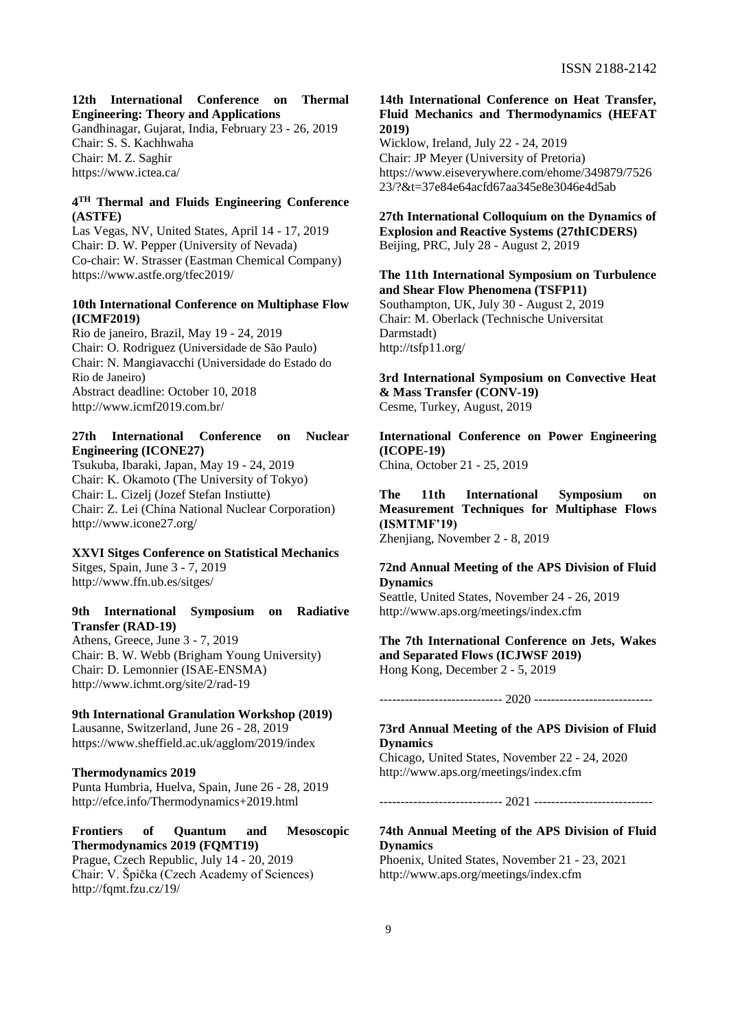#### **12th International Conference on Thermal Engineering: Theory and Applications**

Gandhinagar, Gujarat, India, February 23 - 26, 2019 Chair: S. S. Kachhwaha Chair: M. Z. Saghir https://www.ictea.ca/

# **4 TH Thermal and Fluids Engineering Conference (ASTFE)**

Las Vegas, NV, United States, April 14 - 17, 2019 Chair: D. W. Pepper (University of Nevada) Co-chair: W. Strasser (Eastman Chemical Company) https://www.astfe.org/tfec2019/

## **10th International Conference on Multiphase Flow (ICMF2019)**

Rio de janeiro, Brazil, May 19 - 24, 2019 Chair: O. Rodriguez (Universidade de São Paulo) Chair: N. Mangiavacchi (Universidade do Estado do Rio de Janeiro) Abstract deadline: October 10, 2018 http://www.icmf2019.com.br/

## **27th International Conference on Nuclear Engineering (ICONE27)**

Tsukuba, Ibaraki, Japan, May 19 - 24, 2019 Chair: K. Okamoto (The University of Tokyo) Chair: L. Cizelj (Jozef Stefan Instiutte) Chair: Z. Lei (China National Nuclear Corporation) http://www.icone27.org/

### **XXVI Sitges Conference on Statistical Mechanics**

Sitges, Spain, June 3 - 7, 2019 http://www.ffn.ub.es/sitges/

## **9th International Symposium on Radiative Transfer (RAD-19)**

Athens, Greece, June 3 - 7, 2019 Chair: B. W. Webb (Brigham Young University) Chair: D. Lemonnier (ISAE-ENSMA) http://www.ichmt.org/site/2/rad-19

# **9th International Granulation Workshop (2019)** Lausanne, Switzerland, June 26 - 28, 2019

https://www.sheffield.ac.uk/agglom/2019/index

#### **Thermodynamics 2019**

Punta Humbria, Huelva, Spain, June 26 - 28, 2019 http://efce.info/Thermodynamics+2019.html

## **Frontiers of Quantum and Mesoscopic Thermodynamics 2019 (FQMT19)**

Prague, Czech Republic, July 14 - 20, 2019 Chair: V. Špička (Czech Academy of Sciences) http://fqmt.fzu.cz/19/

#### **14th International Conference on Heat Transfer, Fluid Mechanics and Thermodynamics (HEFAT 2019)**

Wicklow, Ireland, July 22 - 24, 2019 Chair: JP Meyer (University of Pretoria) https://www.eiseverywhere.com/ehome/349879/7526 23/?&t=37e84e64acfd67aa345e8e3046e4d5ab

## **27th International Colloquium on the Dynamics of Explosion and Reactive Systems (27thICDERS)** Beijing, PRC, July 28 - August 2, 2019

# **The 11th International Symposium on Turbulence and Shear Flow Phenomena (TSFP11)**

Southampton, UK, July 30 - August 2, 2019 Chair: M. Oberlack (Technische Universitat Darmstadt) http://tsfp11.org/

**3rd International Symposium on Convective Heat & Mass Transfer (CONV-19)** Cesme, Turkey, August, 2019

**International Conference on Power Engineering (ICOPE-19)**

China, October 21 - 25, 2019

**The 11th International Symposium on Measurement Techniques for Multiphase Flows (ISMTMF'19)** Zhenjiang, November 2 - 8, 2019

**72nd Annual Meeting of the APS Division of Fluid Dynamics** Seattle, United States, November 24 - 26, 2019

http://www.aps.org/meetings/index.cfm

**The 7th International Conference on Jets, Wakes and Separated Flows (ICJWSF 2019)** Hong Kong, December 2 - 5, 2019

#### ----------------------------- 2020 ----------------------------

## **73rd Annual Meeting of the APS Division of Fluid Dynamics**

Chicago, United States, November 22 - 24, 2020 http://www.aps.org/meetings/index.cfm

----------------------------- 2021 ----------------------------

## **74th Annual Meeting of the APS Division of Fluid Dynamics**

Phoenix, United States, November 21 - 23, 2021 http://www.aps.org/meetings/index.cfm